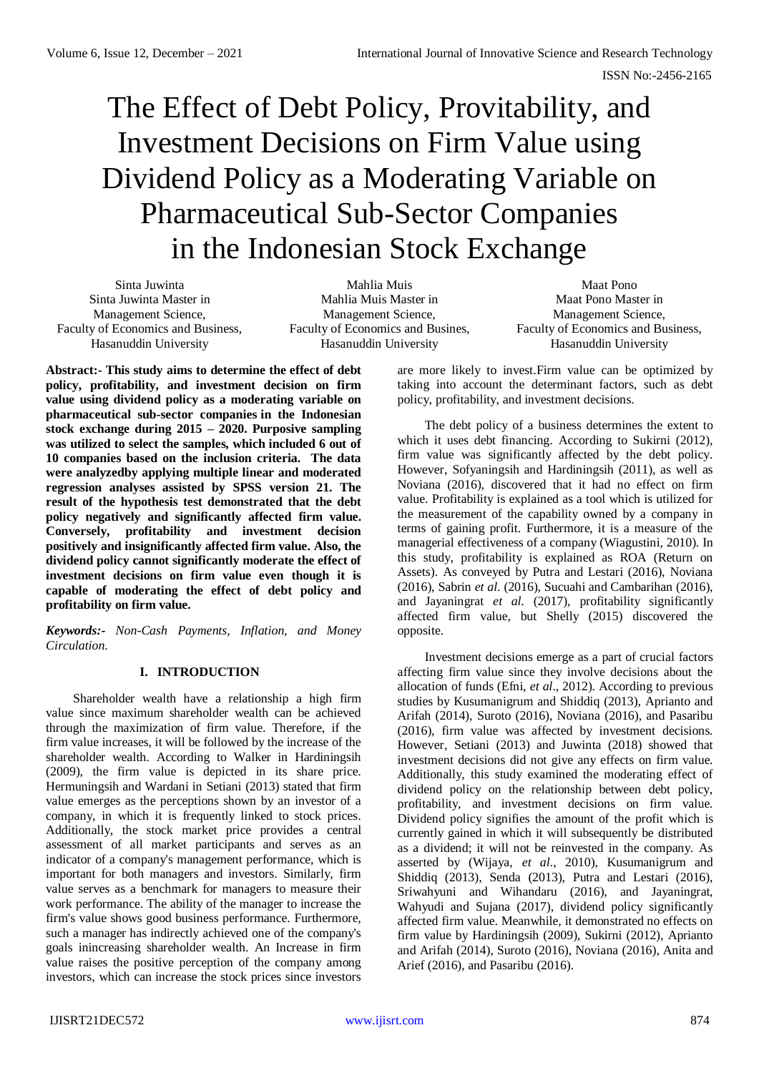# The Effect of Debt Policy, Provitability, and Investment Decisions on Firm Value using Dividend Policy as a Moderating Variable on Pharmaceutical Sub-Sector Companies in the Indonesian Stock Exchange

Sinta Juwinta Sinta Juwinta Master in Management Science, Faculty of Economics and Business, Hasanuddin University

Mahlia Muis Mahlia Muis Master in Management Science, Faculty of Economics and Busines, Hasanuddin University

Maat Pono Maat Pono Master in Management Science, Faculty of Economics and Business, Hasanuddin University

**Abstract:- This study aims to determine the effect of debt policy, profitability, and investment decision on firm value using dividend policy as a moderating variable on pharmaceutical sub-sector companies in the Indonesian stock exchange during 2015 – 2020. Purposive sampling was utilized to select the samples, which included 6 out of 10 companies based on the inclusion criteria. The data were analyzedby applying multiple linear and moderated regression analyses assisted by SPSS version 21. The result of the hypothesis test demonstrated that the debt policy negatively and significantly affected firm value. Conversely, profitability and investment decision positively and insignificantly affected firm value. Also, the dividend policy cannot significantly moderate the effect of investment decisions on firm value even though it is capable of moderating the effect of debt policy and profitability on firm value.** 

*Keywords:- Non-Cash Payments, Inflation, and Money Circulation.*

# **I. INTRODUCTION**

Shareholder wealth have a relationship a high firm value since maximum shareholder wealth can be achieved through the maximization of firm value. Therefore, if the firm value increases, it will be followed by the increase of the shareholder wealth. According to Walker in Hardiningsih (2009), the firm value is depicted in its share price. Hermuningsih and Wardani in Setiani (2013) stated that firm value emerges as the perceptions shown by an investor of a company, in which it is frequently linked to stock prices. Additionally, the stock market price provides a central assessment of all market participants and serves as an indicator of a company's management performance, which is important for both managers and investors. Similarly, firm value serves as a benchmark for managers to measure their work performance. The ability of the manager to increase the firm's value shows good business performance. Furthermore, such a manager has indirectly achieved one of the company's goals inincreasing shareholder wealth. An Increase in firm value raises the positive perception of the company among investors, which can increase the stock prices since investors are more likely to invest.Firm value can be optimized by taking into account the determinant factors, such as debt policy, profitability, and investment decisions.

The debt policy of a business determines the extent to which it uses debt financing. According to Sukirni (2012), firm value was significantly affected by the debt policy. However, Sofyaningsih and Hardiningsih (2011), as well as Noviana (2016), discovered that it had no effect on firm value. Profitability is explained as a tool which is utilized for the measurement of the capability owned by a company in terms of gaining profit. Furthermore, it is a measure of the managerial effectiveness of a company (Wiagustini, 2010). In this study, profitability is explained as ROA (Return on Assets). As conveyed by Putra and Lestari (2016), Noviana (2016), Sabrin *et al*. (2016), Sucuahi and Cambarihan (2016), and Jayaningrat *et al*. (2017), profitability significantly affected firm value, but Shelly (2015) discovered the opposite.

Investment decisions emerge as a part of crucial factors affecting firm value since they involve decisions about the allocation of funds (Efni, *et al*., 2012). According to previous studies by Kusumanigrum and Shiddiq (2013), Aprianto and Arifah (2014), Suroto (2016), Noviana (2016), and Pasaribu (2016), firm value was affected by investment decisions. However, Setiani (2013) and Juwinta (2018) showed that investment decisions did not give any effects on firm value. Additionally, this study examined the moderating effect of dividend policy on the relationship between debt policy, profitability, and investment decisions on firm value. Dividend policy signifies the amount of the profit which is currently gained in which it will subsequently be distributed as a dividend; it will not be reinvested in the company. As asserted by (Wijaya, *et al*., 2010), Kusumanigrum and Shiddiq (2013), Senda (2013), Putra and Lestari (2016), Sriwahyuni and Wihandaru (2016), and Jayaningrat, Wahyudi and Sujana (2017), dividend policy significantly affected firm value. Meanwhile, it demonstrated no effects on firm value by Hardiningsih (2009), Sukirni (2012), Aprianto and Arifah (2014), Suroto (2016), Noviana (2016), Anita and Arief (2016), and Pasaribu (2016).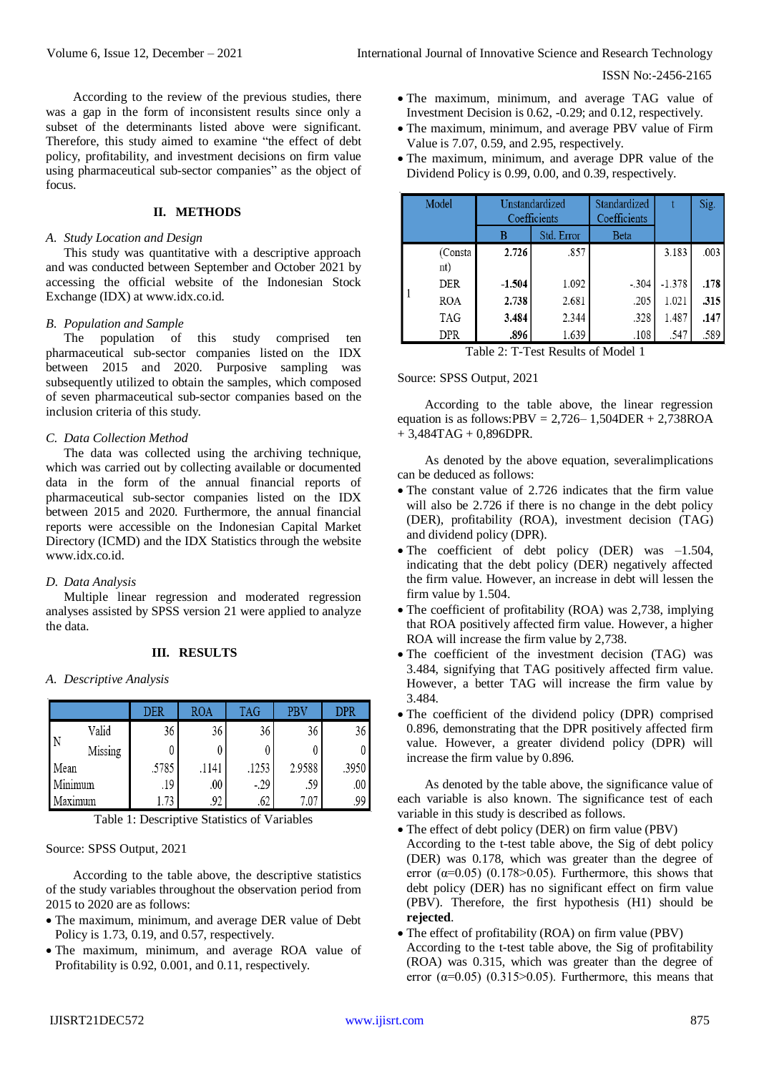According to the review of the previous studies, there was a gap in the form of inconsistent results since only a subset of the determinants listed above were significant. Therefore, this study aimed to examine "the effect of debt policy, profitability, and investment decisions on firm value using pharmaceutical sub-sector companies" as the object of focus.

# **II. METHODS**

### *A. Study Location and Design*

This study was quantitative with a descriptive approach and was conducted between September and October 2021 by accessing the official website of the Indonesian Stock Exchange (IDX) at www.idx.co.id.

### *B. Population and Sample*

The population of this study comprised ten pharmaceutical sub-sector companies listed on the IDX between 2015 and 2020. Purposive sampling was subsequently utilized to obtain the samples, which composed of seven pharmaceutical sub-sector companies based on the inclusion criteria of this study.

### *C. Data Collection Method*

The data was collected using the archiving technique, which was carried out by collecting available or documented data in the form of the annual financial reports of pharmaceutical sub-sector companies listed on the IDX between 2015 and 2020. Furthermore, the annual financial reports were accessible on the Indonesian Capital Market Directory (ICMD) and the IDX Statistics through the website www.idx.co.id.

## *D. Data Analysis*

Multiple linear regression and moderated regression analyses assisted by SPSS version 21 were applied to analyze the data.

## **III. RESULTS**

### *A. Descriptive Analysis*

|         |         | <b>DER</b> | ROA   | <b>TAG</b> | PBV    | <b>DPR</b> |
|---------|---------|------------|-------|------------|--------|------------|
|         | Valid   | 36         | 36    | 36         | 36     | 36         |
|         | Missing |            |       |            |        |            |
| Mean    |         | .5785      | .1141 | .1253      | 2.9588 | .3950      |
| Minimum |         | .19        | .00   | -.29       | .59    | .00        |
| axımum  |         | 1.73       | .92   | .62        | 7.07   | .99        |

Table 1: Descriptive Statistics of Variables

## Source: SPSS Output, 2021

According to the table above, the descriptive statistics of the study variables throughout the observation period from 2015 to 2020 are as follows:

- The maximum, minimum, and average DER value of Debt Policy is 1.73, 0.19, and 0.57, respectively.
- The maximum, minimum, and average ROA value of Profitability is 0.92, 0.001, and 0.11, respectively.
- The maximum, minimum, and average TAG value of Investment Decision is 0.62, -0.29; and 0.12, respectively.
- The maximum, minimum, and average PBV value of Firm Value is 7.07, 0.59, and 2.95, respectively.
- The maximum, minimum, and average DPR value of the Dividend Policy is 0.99, 0.00, and 0.39, respectively.

| Model |                | Unstandardized<br>Coefficients |            | Standardized<br>Coefficients |          | Sig. |
|-------|----------------|--------------------------------|------------|------------------------------|----------|------|
|       |                | B                              | Std. Error | <b>Beta</b>                  |          |      |
|       | (Consta<br>nt) | 2.726                          | .857       |                              | 3.183    | .003 |
|       | DER            | $-1.504$                       | 1.092      | $-.304$                      | $-1.378$ | .178 |
|       | <b>ROA</b>     | 2.738                          | 2.681      | .205                         | 1.021    | .315 |
|       | TAG            | 3.484                          | 2.344      | .328                         | 1.487    | .147 |
|       | DPR            | .896                           | 1.639      | .108                         | .547     | .589 |

Table 2: T-Test Results of Model 1

## Source: SPSS Output, 2021

According to the table above, the linear regression equation is as follows:PBV =  $2,726-1,504$ DER +  $2,738$ ROA + 3,484TAG + 0,896DPR.

As denoted by the above equation, severalimplications can be deduced as follows:

- The constant value of 2.726 indicates that the firm value will also be 2.726 if there is no change in the debt policy (DER), profitability (ROA), investment decision (TAG) and dividend policy (DPR).
- The coefficient of debt policy (DER) was -1.504, indicating that the debt policy (DER) negatively affected the firm value. However, an increase in debt will lessen the firm value by 1.504.
- The coefficient of profitability (ROA) was 2,738, implying that ROA positively affected firm value. However, a higher ROA will increase the firm value by 2,738.
- The coefficient of the investment decision (TAG) was 3.484, signifying that TAG positively affected firm value. However, a better TAG will increase the firm value by 3.484.
- The coefficient of the dividend policy (DPR) comprised 0.896, demonstrating that the DPR positively affected firm value. However, a greater dividend policy (DPR) will increase the firm value by 0.896.

As denoted by the table above, the significance value of each variable is also known. The significance test of each variable in this study is described as follows.

- The effect of debt policy (DER) on firm value (PBV)
- According to the t-test table above, the Sig of debt policy (DER) was 0.178, which was greater than the degree of error ( $\alpha$ =0.05) (0.178>0.05). Furthermore, this shows that debt policy (DER) has no significant effect on firm value (PBV). Therefore, the first hypothesis (H1) should be **rejected**.
- The effect of profitability (ROA) on firm value (PBV) According to the t-test table above, the Sig of profitability (ROA) was 0.315, which was greater than the degree of error  $(\alpha=0.05)$  (0.315>0.05). Furthermore, this means that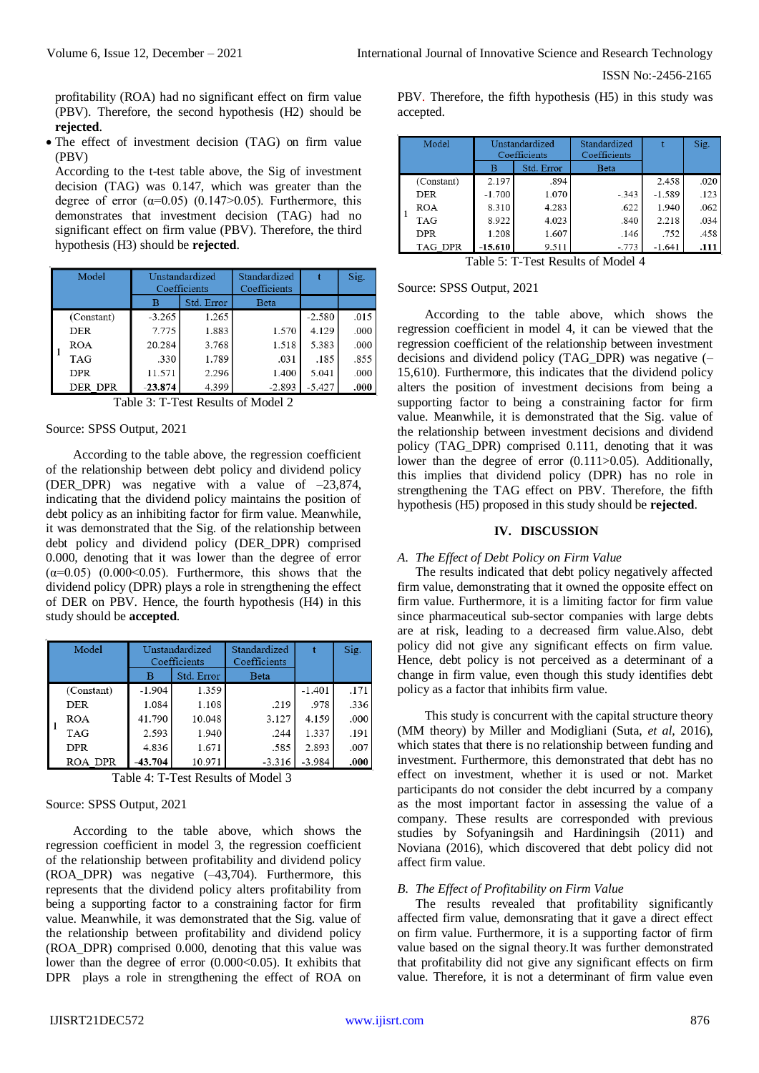profitability (ROA) had no significant effect on firm value (PBV). Therefore, the second hypothesis (H2) should be **rejected**.

• The effect of investment decision (TAG) on firm value (PBV)

According to the t-test table above, the Sig of investment decision (TAG) was 0.147, which was greater than the degree of error  $(\alpha=0.05)$  (0.147>0.05). Furthermore, this demonstrates that investment decision (TAG) had no significant effect on firm value (PBV). Therefore, the third hypothesis (H3) should be **rejected**.

| Model |            | Unstandardized<br>Coefficients |            | Standardized<br>Coefficients |          | Sig. |
|-------|------------|--------------------------------|------------|------------------------------|----------|------|
|       |            | в                              | Std. Error | <b>Beta</b>                  |          |      |
|       | (Constant) | $-3.265$                       | 1.265      |                              | $-2.580$ | .015 |
|       | DER        | 7.775                          | 1.883      | 1.570                        | 4.129    | .000 |
|       | <b>ROA</b> | 20.284                         | 3.768      | 1.518                        | 5.383    | .000 |
|       | <b>TAG</b> | .330                           | 1.789      | .031                         | .185     | .855 |
|       | <b>DPR</b> | 11.571                         | 2.296      | 1.400                        | 5.041    | .000 |
|       | DER DPR    | $-23.874$                      | 4.399      | $-2.893$                     | $-5.427$ | .000 |

Table 3: T-Test Results of Model 2

## Source: SPSS Output, 2021

According to the table above, the regression coefficient of the relationship between debt policy and dividend policy (DER\_DPR) was negative with a value of –23,874, indicating that the dividend policy maintains the position of debt policy as an inhibiting factor for firm value. Meanwhile, it was demonstrated that the Sig. of the relationship between debt policy and dividend policy (DER\_DPR) comprised 0.000, denoting that it was lower than the degree of error  $(\alpha=0.05)$  (0.000 < 0.05). Furthermore, this shows that the dividend policy (DPR) plays a role in strengthening the effect of DER on PBV. Hence, the fourth hypothesis (H4) in this study should be **accepted**.

| Model |            | Unstandardized<br>Coefficients |            | Standardized<br>Coefficients |          | Sig. |
|-------|------------|--------------------------------|------------|------------------------------|----------|------|
|       |            | в                              | Std. Error | Beta                         |          |      |
|       | (Constant) | $-1.904$                       | 1.359      |                              | $-1.401$ | .171 |
|       | DER        | 1.084                          | 1.108      | .219                         | .978     | .336 |
|       | <b>ROA</b> | 41.790                         | 10.048     | 3.127                        | 4.159    | .000 |
|       | TAG        | 2.593                          | 1.940      | .244                         | 1.337    | .191 |
|       | <b>DPR</b> | 4.836                          | 1.671      | .585                         | 2.893    | .007 |
|       | ROA DPR    | 43.704                         | 10.971     | $-3.316$                     | $-3.984$ | .000 |

Table 4: T-Test Results of Model 3

# Source: SPSS Output, 2021

According to the table above, which shows the regression coefficient in model 3, the regression coefficient of the relationship between profitability and dividend policy (ROA\_DPR) was negative (–43,704). Furthermore, this represents that the dividend policy alters profitability from being a supporting factor to a constraining factor for firm value. Meanwhile, it was demonstrated that the Sig. value of the relationship between profitability and dividend policy (ROA\_DPR) comprised 0.000, denoting that this value was lower than the degree of error  $(0.000<0.05)$ . It exhibits that DPR plays a role in strengthening the effect of ROA on PBV. Therefore, the fifth hypothesis (H5) in this study was accepted.

|  | Model          | Unstandardized<br>Coefficients |            | Standardized<br>Coefficients |          | Sig. |
|--|----------------|--------------------------------|------------|------------------------------|----------|------|
|  |                | в                              | Std. Error | Beta                         |          |      |
|  | (Constant)     | 2.197                          | .894       |                              | 2.458    | .020 |
|  | <b>DER</b>     | $-1.700$                       | 1.070      | $-.343$                      | $-1.589$ | .123 |
|  | ROA            | 8.310                          | 4.283      | .622                         | 1.940    | .062 |
|  | TAG            | 8.922                          | 4.023      | .840                         | 2.218    | .034 |
|  | <b>DPR</b>     | 1.208                          | 1.607      | .146                         | .752     | .458 |
|  | <b>TAG DPR</b> | $-15.610$                      | 9.511      | $-.773$                      | $-1.641$ | .111 |

Table 5: T-Test Results of Model 4

# Source: SPSS Output, 2021

According to the table above, which shows the regression coefficient in model 4, it can be viewed that the regression coefficient of the relationship between investment decisions and dividend policy (TAG\_DPR) was negative (– 15,610). Furthermore, this indicates that the dividend policy alters the position of investment decisions from being a supporting factor to being a constraining factor for firm value. Meanwhile, it is demonstrated that the Sig. value of the relationship between investment decisions and dividend policy (TAG\_DPR) comprised 0.111, denoting that it was lower than the degree of error (0.111>0.05). Additionally, this implies that dividend policy (DPR) has no role in strengthening the TAG effect on PBV. Therefore, the fifth hypothesis (H5) proposed in this study should be **rejected**.

## **IV. DISCUSSION**

# *A. The Effect of Debt Policy on Firm Value*

The results indicated that debt policy negatively affected firm value, demonstrating that it owned the opposite effect on firm value. Furthermore, it is a limiting factor for firm value since pharmaceutical sub-sector companies with large debts are at risk, leading to a decreased firm value.Also, debt policy did not give any significant effects on firm value. Hence, debt policy is not perceived as a determinant of a change in firm value, even though this study identifies debt policy as a factor that inhibits firm value.

This study is concurrent with the capital structure theory (MM theory) by Miller and Modigliani (Suta, *et al*, 2016), which states that there is no relationship between funding and investment. Furthermore, this demonstrated that debt has no effect on investment, whether it is used or not. Market participants do not consider the debt incurred by a company as the most important factor in assessing the value of a company. These results are corresponded with previous studies by Sofyaningsih and Hardiningsih (2011) and Noviana (2016), which discovered that debt policy did not affect firm value.

# *B. The Effect of Profitability on Firm Value*

The results revealed that profitability significantly affected firm value, demonsrating that it gave a direct effect on firm value. Furthermore, it is a supporting factor of firm value based on the signal theory.It was further demonstrated that profitability did not give any significant effects on firm value. Therefore, it is not a determinant of firm value even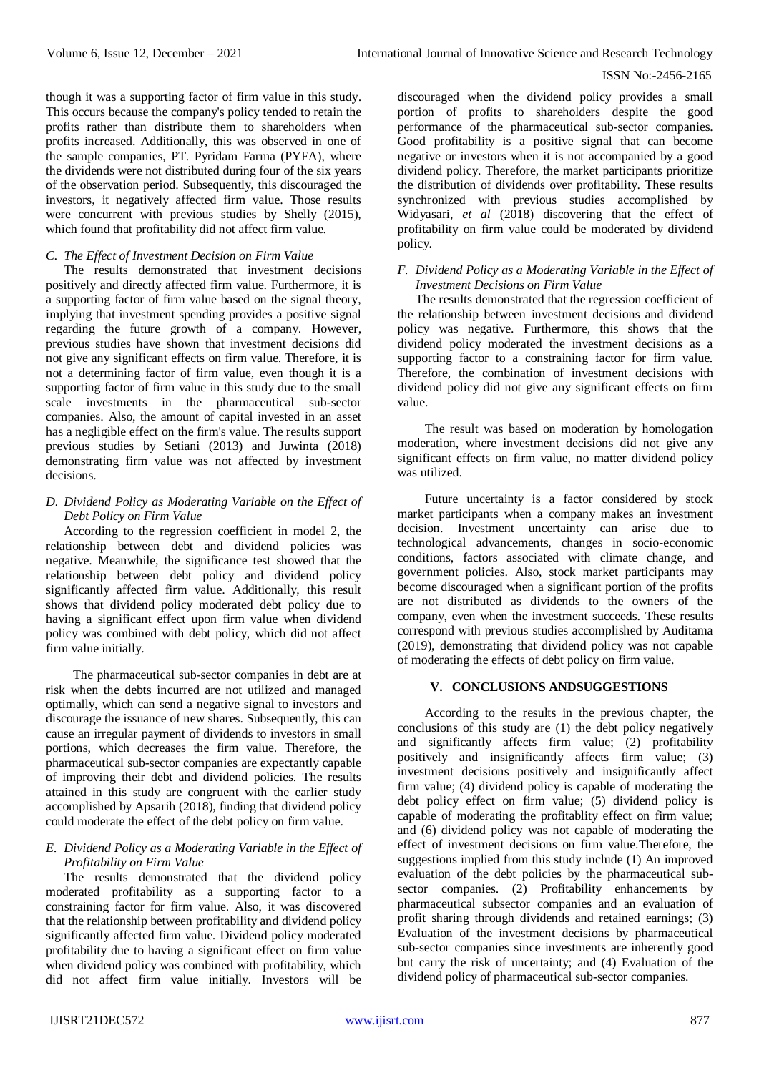though it was a supporting factor of firm value in this study. This occurs because the company's policy tended to retain the profits rather than distribute them to shareholders when profits increased. Additionally, this was observed in one of the sample companies, PT. Pyridam Farma (PYFA), where the dividends were not distributed during four of the six years of the observation period. Subsequently, this discouraged the investors, it negatively affected firm value. Those results were concurrent with previous studies by Shelly (2015), which found that profitability did not affect firm value.

## *C. The Effect of Investment Decision on Firm Value*

The results demonstrated that investment decisions positively and directly affected firm value. Furthermore, it is a supporting factor of firm value based on the signal theory, implying that investment spending provides a positive signal regarding the future growth of a company. However, previous studies have shown that investment decisions did not give any significant effects on firm value. Therefore, it is not a determining factor of firm value, even though it is a supporting factor of firm value in this study due to the small scale investments in the pharmaceutical sub-sector companies. Also, the amount of capital invested in an asset has a negligible effect on the firm's value. The results support previous studies by Setiani (2013) and Juwinta (2018) demonstrating firm value was not affected by investment decisions.

## *D. Dividend Policy as Moderating Variable on the Effect of Debt Policy on Firm Value*

According to the regression coefficient in model 2, the relationship between debt and dividend policies was negative. Meanwhile, the significance test showed that the relationship between debt policy and dividend policy significantly affected firm value. Additionally, this result shows that dividend policy moderated debt policy due to having a significant effect upon firm value when dividend policy was combined with debt policy, which did not affect firm value initially.

The pharmaceutical sub-sector companies in debt are at risk when the debts incurred are not utilized and managed optimally, which can send a negative signal to investors and discourage the issuance of new shares. Subsequently, this can cause an irregular payment of dividends to investors in small portions, which decreases the firm value. Therefore, the pharmaceutical sub-sector companies are expectantly capable of improving their debt and dividend policies. The results attained in this study are congruent with the earlier study accomplished by Apsarih (2018), finding that dividend policy could moderate the effect of the debt policy on firm value.

## *E. Dividend Policy as a Moderating Variable in the Effect of Profitability on Firm Value*

The results demonstrated that the dividend policy moderated profitability as a supporting factor to a constraining factor for firm value. Also, it was discovered that the relationship between profitability and dividend policy significantly affected firm value. Dividend policy moderated profitability due to having a significant effect on firm value when dividend policy was combined with profitability, which did not affect firm value initially. Investors will be discouraged when the dividend policy provides a small portion of profits to shareholders despite the good performance of the pharmaceutical sub-sector companies. Good profitability is a positive signal that can become negative or investors when it is not accompanied by a good dividend policy. Therefore, the market participants prioritize the distribution of dividends over profitability. These results synchronized with previous studies accomplished by Widyasari, *et al* (2018) discovering that the effect of profitability on firm value could be moderated by dividend policy.

## *F. Dividend Policy as a Moderating Variable in the Effect of Investment Decisions on Firm Value*

The results demonstrated that the regression coefficient of the relationship between investment decisions and dividend policy was negative. Furthermore, this shows that the dividend policy moderated the investment decisions as a supporting factor to a constraining factor for firm value. Therefore, the combination of investment decisions with dividend policy did not give any significant effects on firm value.

The result was based on moderation by homologation moderation, where investment decisions did not give any significant effects on firm value, no matter dividend policy was utilized.

Future uncertainty is a factor considered by stock market participants when a company makes an investment decision. Investment uncertainty can arise due to technological advancements, changes in socio-economic conditions, factors associated with climate change, and government policies. Also, stock market participants may become discouraged when a significant portion of the profits are not distributed as dividends to the owners of the company, even when the investment succeeds. These results correspond with previous studies accomplished by Auditama (2019), demonstrating that dividend policy was not capable of moderating the effects of debt policy on firm value.

# **V. CONCLUSIONS ANDSUGGESTIONS**

According to the results in the previous chapter, the conclusions of this study are (1) the debt policy negatively and significantly affects firm value; (2) profitability positively and insignificantly affects firm value; (3) investment decisions positively and insignificantly affect firm value; (4) dividend policy is capable of moderating the debt policy effect on firm value; (5) dividend policy is capable of moderating the profitablity effect on firm value; and (6) dividend policy was not capable of moderating the effect of investment decisions on firm value.Therefore, the suggestions implied from this study include (1) An improved evaluation of the debt policies by the pharmaceutical subsector companies. (2) Profitability enhancements by pharmaceutical subsector companies and an evaluation of profit sharing through dividends and retained earnings; (3) Evaluation of the investment decisions by pharmaceutical sub-sector companies since investments are inherently good but carry the risk of uncertainty; and (4) Evaluation of the dividend policy of pharmaceutical sub-sector companies.